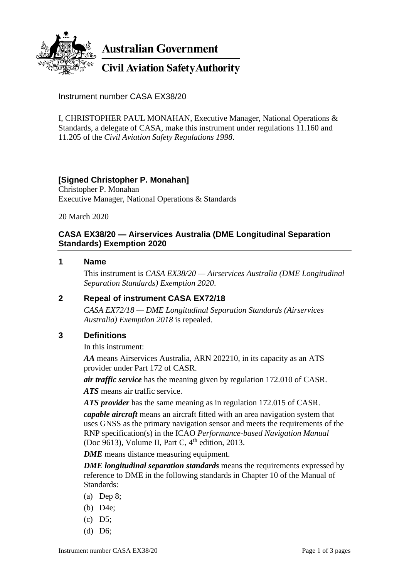

**Australian Government** 

# **Civil Aviation Safety Authority**

Instrument number CASA EX38/20

I, CHRISTOPHER PAUL MONAHAN, Executive Manager, National Operations & Standards, a delegate of CASA, make this instrument under regulations 11.160 and 11.205 of the *Civil Aviation Safety Regulations 1998*.

### **[Signed Christopher P. Monahan]**

Christopher P. Monahan Executive Manager, National Operations & Standards

20 March 2020

#### **CASA EX38/20 — Airservices Australia (DME Longitudinal Separation Standards) Exemption 2020**

#### **1 Name**

This instrument is *CASA EX38/20 — Airservices Australia (DME Longitudinal Separation Standards) Exemption 2020*.

#### **2 Repeal of instrument CASA EX72/18**

*CASA EX72/18 — DME Longitudinal Separation Standards (Airservices Australia) Exemption 2018* is repealed.

## **3 Definitions**

In this instrument:

*AA* means Airservices Australia, ARN 202210, in its capacity as an ATS provider under Part 172 of CASR.

*air traffic service* has the meaning given by regulation 172.010 of CASR.

*ATS* means air traffic service.

*ATS provider* has the same meaning as in regulation 172.015 of CASR.

*capable aircraft* means an aircraft fitted with an area navigation system that uses GNSS as the primary navigation sensor and meets the requirements of the RNP specification(s) in the ICAO *Performance-based Navigation Manual* (Doc 9613), Volume II, Part C,  $4<sup>th</sup>$  edition, 2013.

*DME* means distance measuring equipment.

*DME longitudinal separation standards* means the requirements expressed by reference to DME in the following standards in Chapter 10 of the Manual of Standards:

- (a) Dep 8;
- (b) D4e;
- (c) D5;
- (d) D6;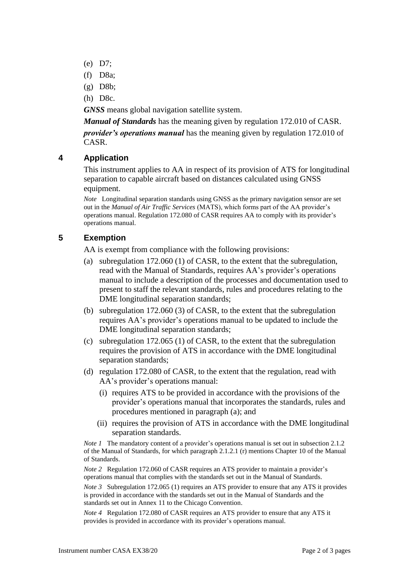- (e) D7;
- (f) D8a;
- (g) D8b;
- (h) D8c.

*GNSS* means global navigation satellite system.

*Manual of Standards* has the meaning given by regulation 172.010 of CASR.

*provider's operations manual* has the meaning given by regulation 172.010 of CASR.

#### **4 Application**

This instrument applies to AA in respect of its provision of ATS for longitudinal separation to capable aircraft based on distances calculated using GNSS equipment.

*Note* Longitudinal separation standards using GNSS as the primary navigation sensor are set out in the *Manual of Air Traffic Services* (MATS), which forms part of the AA provider's operations manual. Regulation 172.080 of CASR requires AA to comply with its provider's operations manual.

#### **5 Exemption**

AA is exempt from compliance with the following provisions:

- (a) subregulation 172.060 (1) of CASR, to the extent that the subregulation, read with the Manual of Standards, requires AA's provider's operations manual to include a description of the processes and documentation used to present to staff the relevant standards, rules and procedures relating to the DME longitudinal separation standards;
- (b) subregulation 172.060 (3) of CASR, to the extent that the subregulation requires AA's provider's operations manual to be updated to include the DME longitudinal separation standards;
- (c) subregulation 172.065 (1) of CASR, to the extent that the subregulation requires the provision of ATS in accordance with the DME longitudinal separation standards;
- (d) regulation 172.080 of CASR, to the extent that the regulation, read with AA's provider's operations manual:
	- (i) requires ATS to be provided in accordance with the provisions of the provider's operations manual that incorporates the standards, rules and procedures mentioned in paragraph (a); and
	- (ii) requires the provision of ATS in accordance with the DME longitudinal separation standards.

*Note 1* The mandatory content of a provider's operations manual is set out in subsection 2.1.2 of the Manual of Standards, for which paragraph 2.1.2.1 (r) mentions Chapter 10 of the Manual of Standards.

*Note* 2 Regulation 172.060 of CASR requires an ATS provider to maintain a provider's operations manual that complies with the standards set out in the Manual of Standards.

*Note 3* Subregulation 172.065 (1) requires an ATS provider to ensure that any ATS it provides is provided in accordance with the standards set out in the Manual of Standards and the standards set out in Annex 11 to the Chicago Convention.

*Note 4* Regulation 172.080 of CASR requires an ATS provider to ensure that any ATS it provides is provided in accordance with its provider's operations manual.